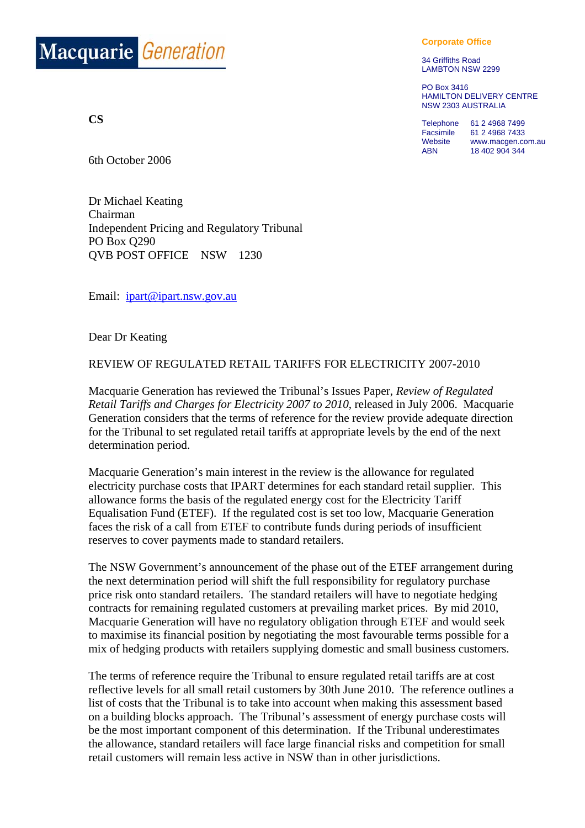

**CS**

**Corporate Office**

34 Griffiths Road LAMBTON NSW 2299

PO Box 3416 HAMILTON DELIVERY CENTRE NSW 2303 AUSTRALIA

Telephone 61 2 4968 7499 Facsimile 61 2 4968 7433 Website www.macgen.com.au ABN 18 402 904 344

6th October 2006

Dr Michael Keating Chairman Independent Pricing and Regulatory Tribunal PO Box Q290 QVB POST OFFICE NSW 1230

Email: ipart@ipart.nsw.gov.au

Dear Dr Keating

## REVIEW OF REGULATED RETAIL TARIFFS FOR ELECTRICITY 2007-2010

Macquarie Generation has reviewed the Tribunal's Issues Paper, *Review of Regulated Retail Tariffs and Charges for Electricity 2007 to 2010*, released in July 2006. Macquarie Generation considers that the terms of reference for the review provide adequate direction for the Tribunal to set regulated retail tariffs at appropriate levels by the end of the next determination period.

Macquarie Generation's main interest in the review is the allowance for regulated electricity purchase costs that IPART determines for each standard retail supplier. This allowance forms the basis of the regulated energy cost for the Electricity Tariff Equalisation Fund (ETEF). If the regulated cost is set too low, Macquarie Generation faces the risk of a call from ETEF to contribute funds during periods of insufficient reserves to cover payments made to standard retailers.

The NSW Government's announcement of the phase out of the ETEF arrangement during the next determination period will shift the full responsibility for regulatory purchase price risk onto standard retailers. The standard retailers will have to negotiate hedging contracts for remaining regulated customers at prevailing market prices. By mid 2010, Macquarie Generation will have no regulatory obligation through ETEF and would seek to maximise its financial position by negotiating the most favourable terms possible for a mix of hedging products with retailers supplying domestic and small business customers.

The terms of reference require the Tribunal to ensure regulated retail tariffs are at cost reflective levels for all small retail customers by 30th June 2010. The reference outlines a list of costs that the Tribunal is to take into account when making this assessment based on a building blocks approach. The Tribunal's assessment of energy purchase costs will be the most important component of this determination. If the Tribunal underestimates the allowance, standard retailers will face large financial risks and competition for small retail customers will remain less active in NSW than in other jurisdictions.